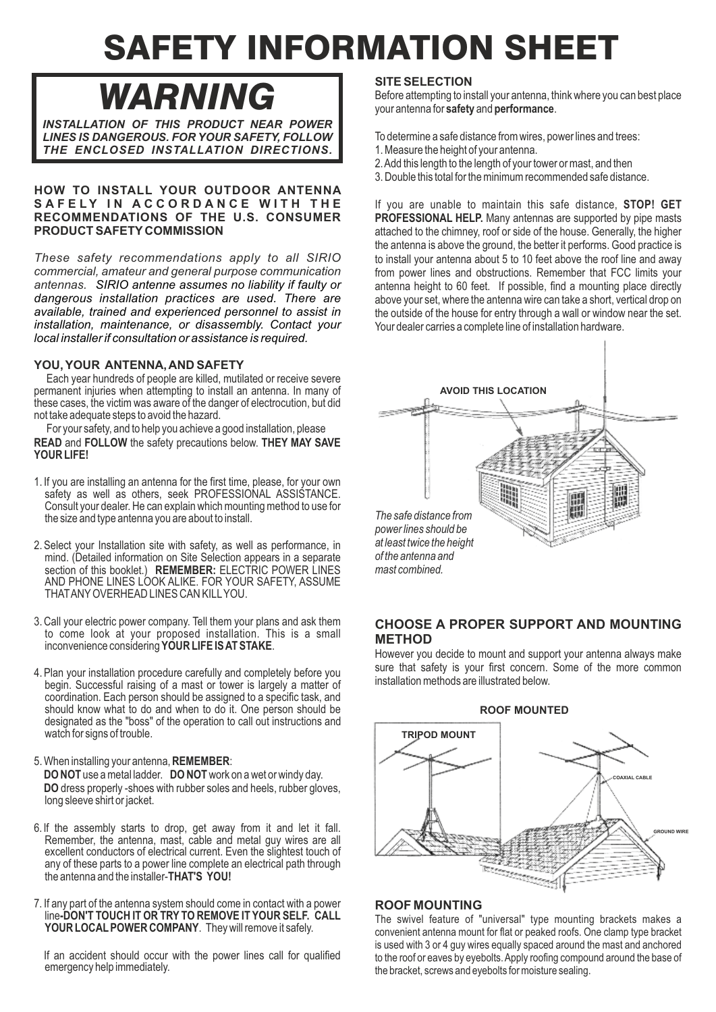# SAFETY INFORMATION SHEET

*WARNING*

*INSTALLATION OF THIS PRODUCT NEAR POWER LINES IS DANGEROUS. FOR YOUR SAFETY, FOLLOW THE ENCLOSED INSTALLATION DIRECTIONS.*

# **HOW TO INSTALL YOUR OUTDOOR ANTENNA** SAFELY IN ACCORDANCE WITH THE **RECOMMENDATIONS OF THE U.S. CONSUMER PRODUCT SAFETY COMMISSION**

*These safety recommendations apply to all SIRIO commercial, amateur and general purpose communication antennas. SIRIO antenne assumes no liability if faulty or dangerous installation practices are used. There are available, trained and experienced personnel to assist in installation, maintenance, or disassembly. Contact your local installer if consultation or assistance is required.*

# **YOU, YOUR ANTENNA, AND SAFETY**

Each year hundreds of people are killed, mutilated or receive severe permanent injuries when attempting to install an antenna. In many of these cases, the victim was aware of the danger of electrocution, but did not take adequate steps to avoid the hazard.

For your safety, and to help you achieve a good installation, please **READ** and **FOLLOW** the safety precautions below. **THEY MAY SAVE YOUR LIFE!**

- 1. If you are installing an antenna for the first time, please, for your own safety as well as others, seek PROFESSIONAL ASSISTANCE. Consult your dealer. He can explain which mounting method to use for the size and type antenna you are about to install.
- 2. Select your Installation site with safety, as well as performance, in mind. (Detailed information on Site Selection appears in a separate section of this booklet.) **REMEMBER:** ELECTRIC POWER LINES AND PHONE LINES LOOK ALIKE. FOR YOUR SAFETY, ASSUME THATANYOVERHEAD LINES CAN KILLYOU.
- 3. Call your electric power company. Tell them your plans and ask them to come look at your proposed installation. This is a small inconvenience considering **YOUR LIFE IS AT STAKE**.
- 4. Plan your installation procedure carefully and completely before you begin. Successful raising of a mast or tower is largely a matter of coordination. Each person should be assigned to a specific task, and should know what to do and when to do it. One person should be designated as the "boss" of the operation to call out instructions and watch for signs of trouble.
- 5. When installing your antenna, **REMEMBER**: **DO NOT** use a metal ladder. **DO NOT**work on a wet or windy day. **DO** dress properly -shoes with rubber soles and heels, rubber gloves, long sleeve shirt or jacket.
- 6. lf the assembly starts to drop, get away from it and let it fall. Remember, the antenna, mast, cable and metal guy wires are all excellent conductors of electrical current. Even the slightest touch of any of these parts to a power line complete an electrical path through the antenna and the installer-**THAT'S YOU!**
- 7. If any part of the antenna system should come in contact with a power line**-DON'T TOUCH IT OR TRY TO REMOVE IT YOUR SELF. CALL** YOUR LOCAL POWER COMPANY. They will remove it safely.

If an accident should occur with the power lines call for qualified emergency help immediately.

# **SITE SELECTION**

Before attempting to install your antenna, think where you can best place your antenna for **safety** and **performance**.

To determine a safe distance from wires, power lines and trees:

- 1. Measure the height of your antenna.
- 2. Add this length to the length of your tower or mast, and then
- 3. Double this total for the minimum recommended safe distance.

If you are unable to maintain this safe distance, **STOP! GET PROFESSIONAL HELP.** Many antennas are supported by pipe masts attached to the chimney, roof or side of the house. Generally, the higher the antenna is above the ground, the better it performs. Good practice is to install your antenna about 5 to 10 feet above the roof line and away from power lines and obstructions. Remember that FCC limits your antenna height to 60 feet. If possible, find a mounting place directly above your set, where the antenna wire can take a short, vertical drop on the outside of the house for entry through a wall or window near the set. Your dealer carries a complete line of installation hardware.



# **CHOOSE A PROPER SUPPORT AND MOUNTING METHOD**

However you decide to mount and support your antenna always make sure that safety is your first concern. Some of the more common installation methods are illustrated below.



# **ROOF MOUNTING**

The swivel feature of "universal" type mounting brackets makes a convenient antenna mount for flat or peaked roofs. One clamp type bracket is used with 3 or 4 guy wires equally spaced around the mast and anchored to the roof or eaves by eyebolts. Apply roofing compound around the base of the bracket, screws and eyebolts for moisture sealing.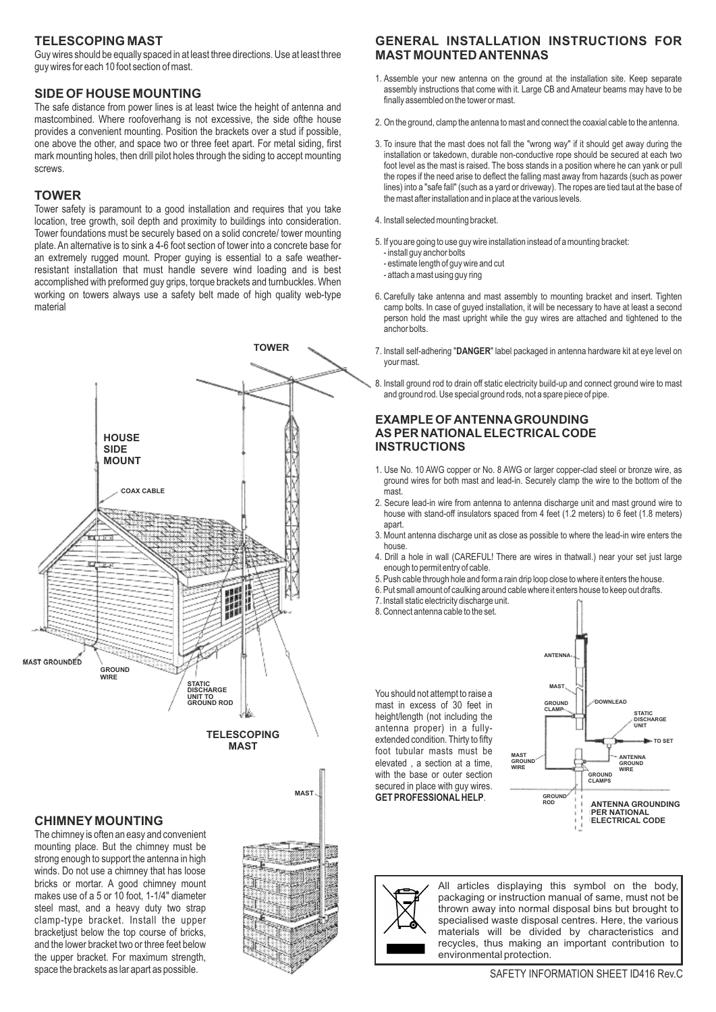# **TELESCOPING MAST**

Guy wires should be equally spaced in at least three directions. Use at least three guy wires for each 10 foot section of mast.

# **SIDE OF HOUSE MOUNTING**

The safe distance from power lines is at least twice the height of antenna and mastcombined. Where roofoverhang is not excessive, the side ofthe house provides a convenient mounting. Position the brackets over a stud if possible, one above the other, and space two or three feet apart. For metal siding, first mark mounting holes, then drill pilot holes through the siding to accept mounting screws.

## **TOWER**

Tower safety is paramount to a good installation and requires that you take location, tree growth, soil depth and proximity to buildings into consideration. Tower foundations must be securely based on a solid concrete/ tower mounting plate. An alternative is to sink a 4-6 foot section of tower into a concrete base for an extremely rugged mount. Proper guying is essential to a safe weatherresistant installation that must handle severe wind loading and is best accomplished with preformed guy grips, torque brackets and turnbuckles. When working on towers always use a safety belt made of high quality web-type material



## **CHIMNEY MOUNTING**

The chimney is often an easy and convenient mounting place. But the chimney must be strong enough to support the antenna in high winds. Do not use a chimney that has loose bricks or mortar. A good chimney mount makes use of a 5 or 10 foot, 1-1/4" diameter steel mast, and a heavy duty two strap clamp-type bracket. Install the upper bracketjust below the top course of bricks, and the lower bracket two or three feet below the upper bracket. For maximum strength, space the brackets as lar apart as possible. SAFETY INFORMATION SHEET ID416 Rev.C



# **GENERAL INSTALLATION INSTRUCTIONS FOR MAST MOUNTED ANTENNAS**

- 1. Assemble your new antenna on the ground at the installation site. Keep separate assembly instructions that come with it. Large CB and Amateur beams may have to be finally assembled on the tower or mast.
- 2. On the ground, clamp the antenna to mast and connect the coaxial cable to the antenna.
- 3. To insure that the mast does not fall the "wrong way" if it should get away during the installation or takedown, durable non-conductive rope should be secured at each two foot level as the mast is raised. The boss stands in a position where he can yank or pull the ropes if the need arise to deflect the falling mast away from hazards (such as power lines) into a "safe fall" (such as a yard or driveway). The ropes are tied taut at the base of the mast after installation and in place at the various levels.
- 4. Install selected mounting bracket.
- 5. If you are going to use guy wire installation instead of a mounting bracket:
	- install guy anchor bolts
	- estimate length of guy wire and cut
	- attach a mast using guy ring
- 6. Carefully take antenna and mast assembly to mounting bracket and insert. Tighten camp bolts. In case of guyed installation, it will be necessary to have at least a second person hold the mast upright while the guy wires are attached and tightened to the anchor bolts.
- 7. Install self-adhering "**DANGER**" label packaged in antenna hardware kit at eye level on your mast.
- 8. Install ground rod to drain off static electricity build-up and connect ground wire to mast and ground rod. Use special ground rods, not a spare piece of pipe.

### **EXAMPLE OF ANTENNAGROUNDING AS PER NATIONALELECTRICAL CODE INSTRUCTIONS**

- 1. Use No. 10 AWG copper or No. 8 AWG or larger copper-clad steel or bronze wire, as ground wires for both mast and lead-in. Securely clamp the wire to the bottom of the mast.
- 2. Secure lead-in wire from antenna to antenna discharge unit and mast ground wire to house with stand-off insulators spaced from 4 feet (1.2 meters) to 6 feet (1.8 meters) apart.
- 3. Mount antenna discharge unit as close as possible to where the lead-in wire enters the house.
- 4. Drill a hole in wall (CAREFUL! There are wires in thatwall.) near your set just large enough to permit entry of cable.
- 5. Push cable through hole and form a rain drip loop close to where it enters the house.
- 6. Put small amount of caulking around cable where it enters house to keep out drafts.
- 7. Install static electricity discharge unit.
- 8. Connect antenna cable to the set.

You should not attempt to raise a mast in excess of 30 feet in height/length (not including the antenna proper) in a fullyextended condition. Thirty to fifty foot tubular masts must be elevated , a section at a time, with the base or outer section secured in place with guy wires. **GET PROFESSIONAL HELP.** 





All articles displaying this symbol on the body, packaging or instruction manual of same, must not be thrown away into normal disposal bins but brought to specialised waste disposal centres. Here, the various materials will be divided by characteristics and recycles, thus making an important contribution to environmental protection.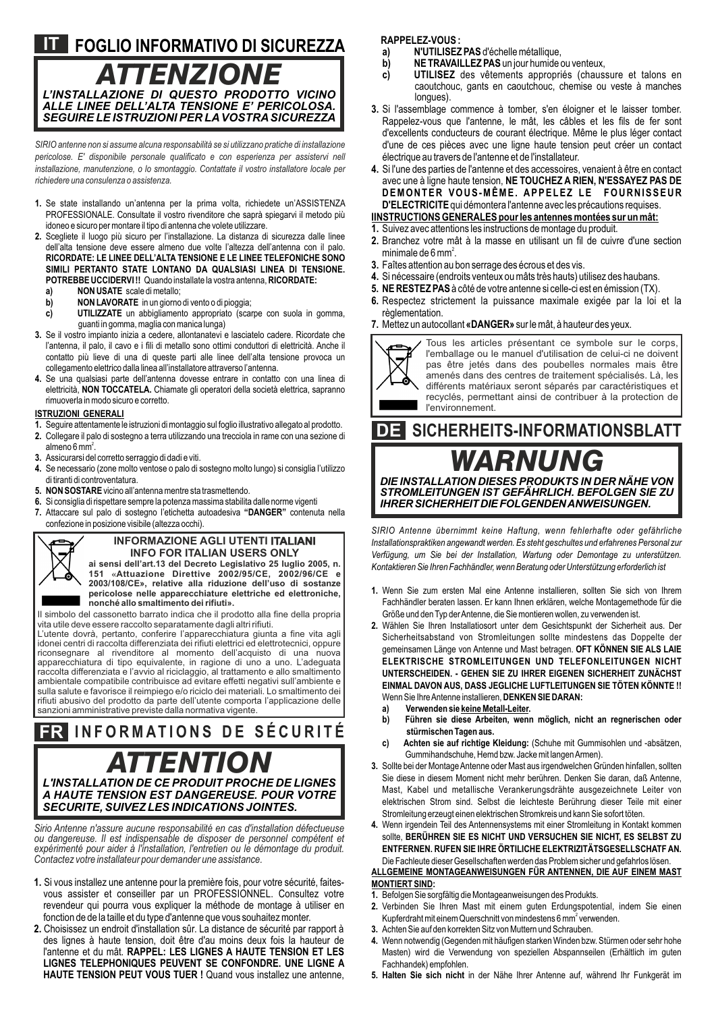# **FOGLIO INFORMATIVO DI SICUREZZA IT** *L'INSTALLAZIONE DI QUESTO PRODOTTO VICINO ALLE LINEE DELL'ALTA TENSIONE E' PERICOLOSA. ATTENZIONE*

*SIRIO antenne non si assume alcuna responsabilità se si utilizzano pratiche di installazione pericolose. E' disponibile personale qualificato e con esperienza per assistervi nell installazione, manutenzione, o lo smontaggio. Contattate il vostro installatore locale per richiedere una consulenza o assistenza.*

*SEGUIRE LE ISTRUZIONI PER LAVOSTRASICUREZZA*

- **1.** Se state installando un'antenna per la prima volta, richiedete un'ASSISTENZA PROFESSIONALE. Consultate il vostro rivenditore che saprà spiegarvi il metodo più idoneo e sicuro per montare il tipo di antenna che volete utilizzare.
- **2.** Scegliete il luogo più sicuro per l'installazione. La distanza di sicurezza dalle linee dell'alta tensione deve essere almeno due volte l'altezza dell'antenna con il palo. **RICORDATE: LE LINEE DELL'ALTA TENSIONE E LE LINEE TELEFONICHE SONO SIMILI PERTANTO STATE LONTANO DA QUALSIASI LINEA DI TENSIONE. POTREBBE UCCIDERVI !!** Quando installate la vostra antenna, **RICORDATE:**
	- **a) NON USATE** scale di metallo;
	- **b) NON LAVORATE** in un giorno di vento o di pioggia;
	- **c) UTILIZZATE** un abbigliamento appropriato (scarpe con suola in gomma, guanti in gomma, maglia con manica lunga)
- **3.** Se il vostro impianto inizia a cedere, allontanatevi e lasciatelo cadere. Ricordate che l'antenna, il palo, il cavo e i fili di metallo sono ottimi conduttori di elettricità. Anche il contatto più lieve di una di queste parti alle linee dell'alta tensione provoca un collegamento elettrico dalla linea all'installatore attraverso l'antenna.
- **4.** Se una qualsiasi parte dell'antenna dovesse entrare in contatto con una linea di elettricità, **NON TOCCATELA.** Chiamate gli operatori della società elettrica, sapranno rimuoverla in modo sicuro e corretto.

#### **ISTRUZIONI GENERALI**

- **1.** Seguire attentamente le istruzioni di montaggio sul foglio illustrativo allegato al prodotto.
- **2.** Collegare il palo di sostegno a terra utilizzando una trecciola in rame con una sezione di almeno 6 mm $^2$ .
- **3.** Assicurarsi del corretto serraggio di dadi e viti.
- **4.** Se necessario (zone molto ventose o palo di sostegno molto lungo) si consiglia l'utilizzo di tiranti di controventatura.
- **5. NON SOSTARE**vicino all'antenna mentre sta trasmettendo.
- **6.** Si consiglia di rispettare sempre la potenza massima stabilita dalle norme vigenti
- **7.** Attaccare sul palo di sostegno l'etichetta autoadesiva **"DANGER"** contenuta nella confezione in posizione visibile (altezza occhi).

#### **INFORMAZIONE AGLI UTENTI ITALIANI INFO FOR ITALIAN USERS ONLY**

**ai sensi dell'art.13 del Decreto Legislativo 25 luglio 2005, n. 151 «Attuazione Direttive 2002/95/CE, 2002/96/CE e 2003/108/CE», relative alla riduzione dell'uso di sostanze pericolose nelle apparecchiature elettriche ed elettroniche, nonché allo smaltimento dei rifiuti».**

Il simbolo del cassonetto barrato indica che il prodotto alla fine della propria vita utile deve essere raccolto separatamente dagli altri rifiuti.

L'utente dovrà, pertanto, conferire l'apparecchiatura giunta a fine vita agli idonei centri di raccolta differenziata dei rifiuti elettrici ed elettrotecnici, oppure riconsegnare al rivenditore al momento dell'acquisto di una nuova apparecchiatura di tipo equivalente, in ragione di uno a uno. L'adeguata raccolta differenziata e l'avvio al riciclaggio, al trattamento e allo smaltimento ambientale compatibile contribuisce ad evitare effetti negativi sull'ambiente e sulla salute e favorisce il reimpiego e/o riciclo dei materiali. Lo smaltimento dei rifiuti abusivo del prodotto da parte dell'utente comporta l'applicazione delle sanzioni amministrative previste dalla normativa vigente.

# **I N F O RMAT I O N S D E S É C U R I T É** *L'INSTALLATION DE CE PRODUIT PROCHE DE LIGNES A HAUTE TENSION EST DANGEREUSE. POUR VOTRE SECURITE, SUIVEZ LES INDICATIONS JOINTES.* **FR** *ATTENTION*

*Sirio Antenne n'assure aucune responsabilité en cas d'installation défectueuse ou dangereuse. Il est indispensable de disposer de personnel compétent et expérimenté pour aider à l'installation, l'entretien ou le démontage du produit. Contactez votre installateur pour demander une assistance.*

- **1.** Si vous installez une antenne pour la première fois, pour votre sécurité, faitesvous assister et conseiller par un PROFESSIONNEL. Consultez votre revendeur qui pourra vous expliquer la méthode de montage à utiliser en fonction de de la taille et du type d'antenne que vous souhaitez monter.
- **2.** Choisissez un endroit d'installation sûr. La distance de sécurité par rapport à des lignes à haute tension, doit être d'au moins deux fois la hauteur de l'antenne et du mât. **RAPPEL: LES LIGNES A HAUTE TENSION ET LES LIGNES TELEPHONIQUES PEUVENT SE CONFONDRE. UNE LIGNE A HAUTE TENSION PEUT VOUS TUER !** Quand vous installez une antenne,

**RAPPELEZ-VOUS :**

- **a) N'UTILISEZ PAS** d'échelle métallique,<br>**b) NE TRAVAILLEZ PAS** un jour humide d
- **b) NE TRAVAILLEZ PAS** un jour humide ou venteux,<br> **c) UTILISEZ** des vêtements appropriés (chaus
- **c) UTILISEZ** des vêtements appropriés (chaussure et talons en caoutchouc, gants en caoutchouc, chemise ou veste à manches longues).
- **3.** Si l'assemblage commence à tomber, s'en éloigner et le laisser tomber. Rappelez-vous que l'antenne, le mât, les câbles et les fils de fer sont d'excellents conducteurs de courant électrique. Même le plus léger contact d'une de ces pièces avec une ligne haute tension peut créer un contact électrique au travers de l'antenne et de l'installateur.
- **4.** Si l'une des parties de l'antenne et des accessoires, venaient à être en contact avec une à ligne haute tension, **NE TOUCHEZ A RIEN, N'ESSAYEZ PAS DE DEMONTER VOUS-MÊME. APPELEZ LE FOURNISSEUR D'ELECTRICITE**qui démontera l'antenne avec les précautions requises.
- **IINSTRUCTIONS GENERALES pour les antennes montées sur un mât: 1.** Suivez avec attentions les instructions de montage du produit.
- 
- **2.** Branchez votre mât à la masse en utilisant un fil de cuivre d'une section minimale de 6 mm<sup>2</sup>.
- **3.** Faîtes attention au bon serrage des écrous et des vis.
- **4.** Si nécessaire (endroits venteux ou mâts très hauts) utilisez des haubans.
- **5. NE RESTEZ PAS**à côté de votre antenne si celle-ci est en émission (TX).
- **6.** Respectez strictement la puissance maximale exigée par la loi et la règlementation.
- **7.** Mettez un autocollant **«DANGER»** sur le mât, à hauteur des yeux.



Tous les articles présentant ce symbole sur le corps, l'emballage ou le manuel d'utilisation de celui-ci ne doivent pas être jetés dans des poubelles normales mais être amenés dans des centres de traitement spécialisés. Là, les différents matériaux seront séparés par caractéristiques et recyclés, permettant ainsi de contribuer à la protection de l'environnement.

# **SICHERHEITS-INFORMATIONSBLATT DE** *DIE INSTALLATION DIESES PRODUKTS IN DER NÄHE VON WARNUNG*

*STROMLEITUNGEN IST GEFÄHRLICH. BEFOLGEN SIE ZU IHRERSICHERHEITDIEFOLGENDENANWEISUNGEN.*

*SIRIO Antenne übernimmt keine Haftung, wenn fehlerhafte oder gefährliche Installationspraktiken angewandt werden. Es steht geschultes und erfahrenes Personal zur Verfügung, um Sie bei der Installation, Wartung oder Demontage zu unterstützen. Kontaktieren Sie Ihren Fachhändler, wenn Beratung oder Unterstützung erforderlich ist*

- **1.** Wenn Sie zum ersten Mal eine Antenne installieren, sollten Sie sich von Ihrem Fachhändler beraten lassen. Er kann Ihnen erklären, welche Montagemethode für die Größe und den Typ der Antenne, die Sie montieren wollen, zu verwenden ist.
- **2.** Wählen Sie Ihren Installatiosort unter dem Gesichtspunkt der Sicherheit aus. Der Sicherheitsabstand von Stromleitungen sollte mindestens das Doppelte der gemeinsamen Länge von Antenne und Mast betragen. **OFT KÖNNEN SIE ALS LAIE ELEKTRISCHE STROMLEITUNGEN UND TELEFONLEITUNGEN NICHT UNTERSCHEIDEN. - GEHEN SIE ZU IHRER EIGENEN SICHERHEIT ZUNÄCHST EINMAL DAVON AUS, DASS JEGLICHE LUFTLEITUNGEN SIE TÖTEN KÖNNTE !!**  Wenn Sie Ihre Antenne installieren, **DENKEN SIE DARAN:**
	- **a) Verwenden sie keine Metall-Leiter.**
	- **b) Führen sie diese Arbeiten, wenn möglich, nicht an regnerischen oder stürmischen Tagen aus.**
	- **c) Achten sie auf richtige Kleidung:** (Schuhe mit Gummisohlen und -absätzen, Gummihandschuhe, Hemd bzw. Jacke mit langen Armen).
- **3.** Sollte bei der Montage Antenne oder Mast aus irgendwelchen Gründen hinfallen, sollten Sie diese in diesem Moment nicht mehr berühren. Denken Sie daran, daß Antenne, Mast, Kabel und metallische Verankerungsdrähte ausgezeichnete Leiter von elektrischen Strom sind. Selbst die leichteste Berührung dieser Teile mit einer Stromleitung erzeugt einen elektrischen Stromkreis und kann Sie sofort töten.

**4.** Wenn irgendein Teil des Antennensystems mit einer Stromleitung in Kontakt kommen sollte, **BERÜHREN SIE ES NICHT UND VERSUCHEN SIE NICHT, ES SELBST ZU ENTFERNEN. RUFEN SIE IHRE ÖRTILICHE ELEKTRIZITÄTSGESELLSCHATF AN.** Die Fachleute dieser Gesellschaften werden das Problem sicher und gefahrlos lösen. **ALLGEMEINE MONTAGEANWEISUNGEN FÜR ANTENNEN, DIE AUF EINEM MAST** 

#### **MONTIERT SIND:**

- **1.** Befolgen Sie sorgfältig die Montageanweisungen des Produkts.
- **2.** Verbinden Sie Ihren Mast mit einem guten Erdungspotential, indem Sie einen Kupferdraht mit einem Querschnitt von mindestens 6 mm<sup>2</sup> verwenden.
- **3.** Achten Sie auf den korrekten Sitz von Muttern und Schrauben.
- **4.** Wenn notwendig (Gegenden mit häufigen starken Winden bzw. Stürmen oder sehr hohe Masten) wird die Verwendung von speziellen Abspannseilen (Erhältlich im guten Fachhandek) empfohlen.
- **5. Halten Sie sich nicht** in der Nähe Ihrer Antenne auf, während Ihr Funkgerät im